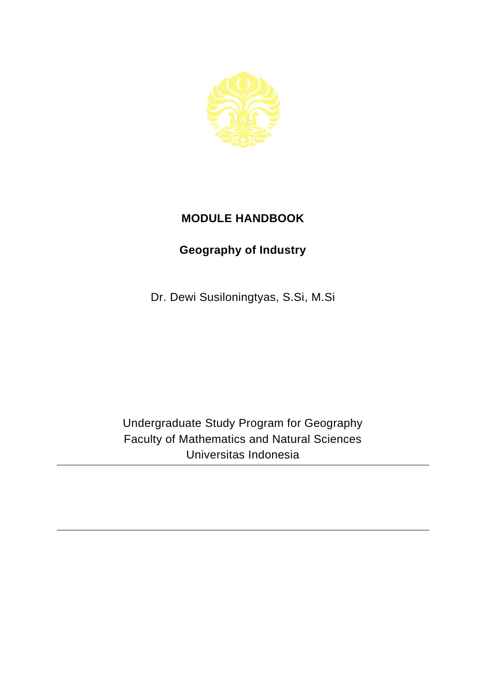

## **MODULE HANDBOOK**

## **Geography of Industry**

Dr. Dewi Susiloningtyas, S.Si, M.Si

Undergraduate Study Program for Geography Faculty of Mathematics and Natural Sciences Universitas Indonesia